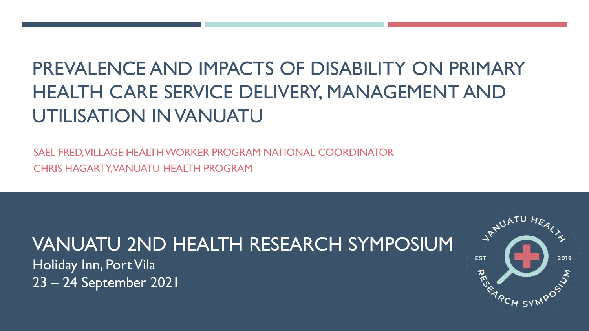# PREVALENCE AND IMPACTS OF DISABILITY ON PRIMARY HEALTH CARE SERVICE DELIVERY, MANAGEMENT AND UTILISATION IN VANUATU

SAEL FRED, VILLAGE HEALTH WORKER PROGRAM NATIONAL COORDINATOR CHRIS HAGARTY, VANUATU HEALTH PROGRAM

## VANUATU 2ND HEALTH RESEARCH SYMPOSIUM

Holiday Inn, Port Vila 23 – 24 September 2021

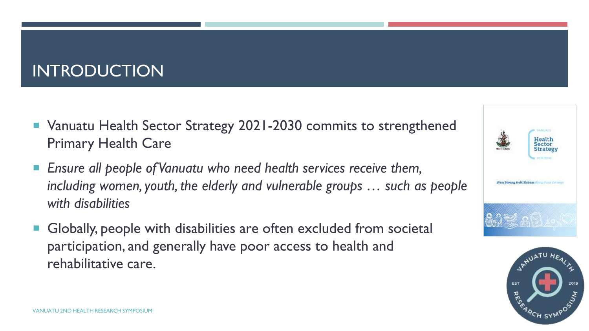### INTRODUCTION

- Vanuatu Health Sector Strategy 2021-2030 commits to strengthened Primary Health Care
- *Ensure all people of Vanuatu who need health services receive them, including women, youth, the elderly and vulnerable groups … such as people with disabilities*
- Globally, people with disabilities are often excluded from societal participation, and generally have poor access to health and rehabilitative care.



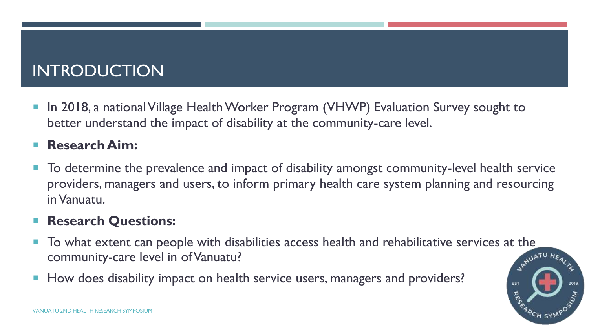### INTRODUCTION

■ In 2018, a national Village Health Worker Program (VHWP) Evaluation Survey sought to better understand the impact of disability at the community-care level.

#### **Research Aim:**

 To determine the prevalence and impact of disability amongst community-level health service providers, managers and users, to inform primary health care system planning and resourcing in Vanuatu.

#### **Research Questions:**

- To what extent can people with disabilities access health and rehabilitative services at the community-care level in of Vanuatu?
- How does disability impact on health service users, managers and providers?

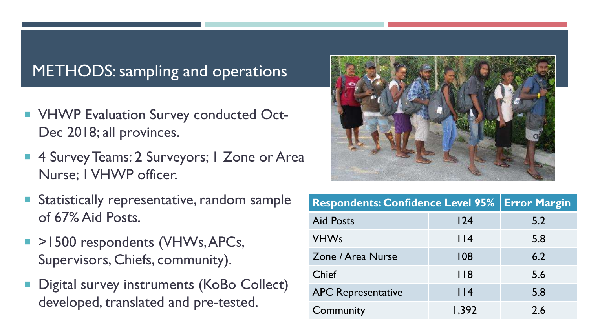#### METHODS: sampling and operations

- **VHWP Evaluation Survey conducted Oct-**Dec 2018; all provinces.
- 4 Survey Teams: 2 Surveyors; 1 Zone or Area Nurse; 1 VHWP officer.
- **Statistically representative, random sample** of 67% Aid Posts.
- $\blacksquare$  >1500 respondents (VHWs, APCs, Supervisors, Chiefs, community).
- **Digital survey instruments (KoBo Collect)** developed, translated and pre-tested.



| <b>Respondents: Confidence Level 95%   Error Margin</b> |             |     |
|---------------------------------------------------------|-------------|-----|
| <b>Aid Posts</b>                                        | 124         | 5.2 |
| <b>VHWs</b>                                             | $ $ $ $ $ $ | 5.8 |
| Zone / Area Nurse                                       | 108         | 6.2 |
| Chief                                                   | 118         | 5.6 |
| <b>APC Representative</b>                               | $ $  4      | 5.8 |
| Community                                               | 1,392       | 2.6 |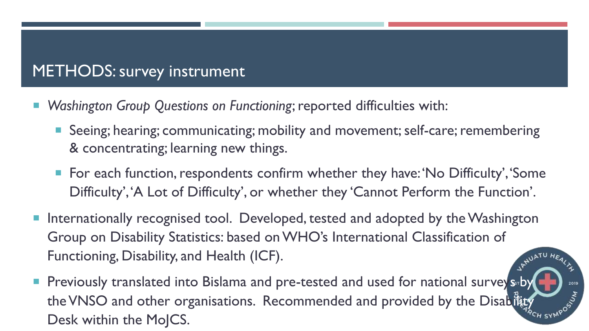### METHODS: survey instrument

- *Washington Group Questions on Functioning*; reported difficulties with:
	- Seeing; hearing; communicating; mobility and movement; self-care; remembering & concentrating; learning new things.
	- For each function, respondents confirm whether they have: 'No Difficulty', 'Some Difficulty', 'A Lot of Difficulty', or whether they 'Cannot Perform the Function'.
- Internationally recognised tool. Developed, tested and adopted by the Washington Group on Disability Statistics: based on WHO's International Classification of Functioning, Disability, and Health (ICF).
- **Phenopsist 10 Set 20 and 3 and 3 and 3 and 2 and Freed And Used for national survey suby Phenomenon Survey suby** the VNSO and other organisations. Recommended and provided by the Disability Desk within the MoJCS.

2019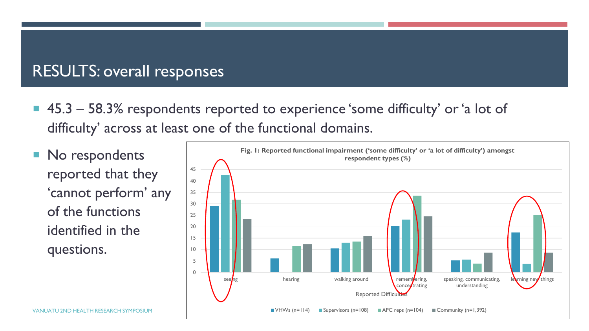#### RESULTS: overall responses

- 45.3 58.3% respondents reported to experience 'some difficulty' or 'a lot of difficulty' across at least one of the functional domains.
- No respondents reported that they 'cannot perform' any of the functions identified in the questions.

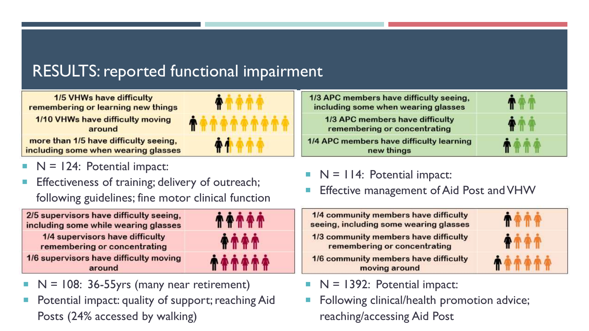## RESULTS: reported functional impairment

**1/5 VHWs have difficulty** remembering or learning new things

1/10 VHWs have difficulty moving around

more than 1/5 have difficulty seeing, including some when wearing glasses

#### $N = 124$ : Potential impact:

 Effectiveness of training; delivery of outreach; following guidelines; fine motor clinical function



- $N = 108$ : 36-55 yrs (many near retirement)
- Potential impact: quality of support; reaching Aid Posts (24% accessed by walking)





- $N = 114$ : Potential impact:
- Effective management of Aid Post and VHW

| 1/4 community members have difficulty<br>seeing, including some wearing glasses |  |
|---------------------------------------------------------------------------------|--|
| 1/3 community members have difficulty<br>remembering or concentrating           |  |
| 1/6 community members have difficulty<br>moving around                          |  |

- $\blacksquare$  N = 1392: Potential impact:
- Following clinical/health promotion advice; reaching/accessing Aid Post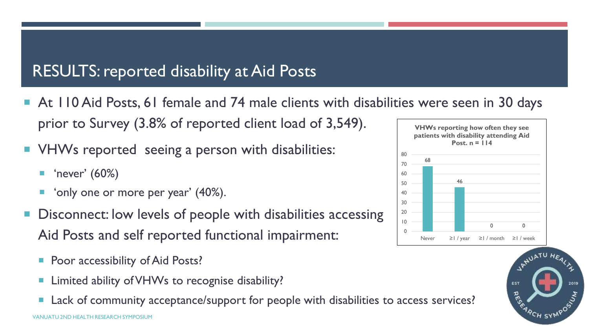### RESULTS: reported disability at Aid Posts

- At 110 Aid Posts, 61 female and 74 male clients with disabilities were seen in 30 days prior to Survey (3.8% of reported client load of 3,549). **VHWs reporting how often they see**
- **VHWs reported seeing a person with disabilities:** 
	- 'never' (60%)
	- 'only one or more per year' (40%).
- Disconnect: low levels of people with disabilities accessing Aid Posts and self reported functional impairment:
	- Poor accessibility of Aid Posts?
	- Limited ability of VHWs to recognise disability?
	- VANUATU 2ND HEALTH RESEARCH SYMPOSIUM Lack of community acceptance/support for people with disabilities to access services?



JANUATU HEAL

2019

EST

**RES**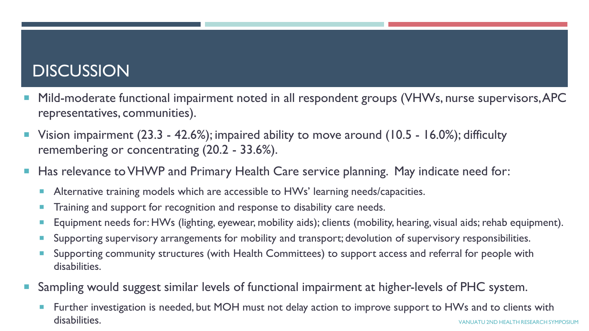#### **DISCUSSION**

- Mild-moderate functional impairment noted in all respondent groups (VHWs, nurse supervisors, APC representatives, communities).
- Vision impairment (23.3 42.6%); impaired ability to move around (10.5 16.0%); difficulty remembering or concentrating (20.2 - 33.6%).
- Has relevance to VHWP and Primary Health Care service planning. May indicate need for:
	- Alternative training models which are accessible to HWs' learning needs/capacities.
	- Training and support for recognition and response to disability care needs.
	- Equipment needs for: HWs (lighting, eyewear, mobility aids); clients (mobility, hearing, visual aids; rehab equipment).
	- Supporting supervisory arrangements for mobility and transport; devolution of supervisory responsibilities.
	- Supporting community structures (with Health Committees) to support access and referral for people with disabilities.
- Sampling would suggest similar levels of functional impairment at higher-levels of PHC system.
	- Further investigation is needed, but MOH must not delay action to improve support to HWs and to clients with disabilities. We also a set of the set of the set of the set of the set of the set of the set of the set of the set of the set of the set of the set of the set of the set of the set of the set of the set of the set of the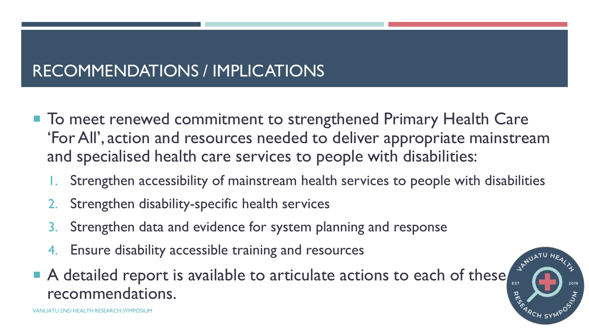## RECOMMENDATIONS / IMPLICATIONS

- To meet renewed commitment to strengthened Primary Health Care 'For All', action and resources needed to deliver appropriate mainstream and specialised health care services to people with disabilities:
	- Strengthen accessibility of mainstream health services to people with disabilities
	- 2. Strengthen disability-specific health services
	- 3. Strengthen data and evidence for system planning and response
	- Ensure disability accessible training and resources
- A detailed report is available to articulate actions to each of these recommendations.